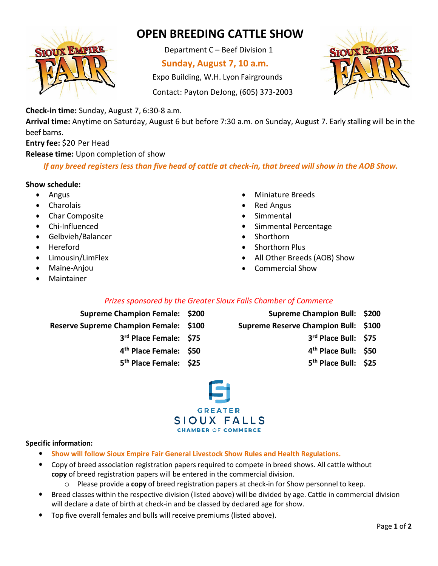

# **OPEN BREEDING CATTLE SHOW**

Department C – Beef Division 1

## **Sunday, August 7, 10 a.m.**

Expo Building, W.H. Lyon Fairgrounds

Contact: Payton DeJong, (605) 373-2003



**Check-in time:** Sunday, August 7, 6:30-8 a.m.

**Arrival time:** Anytime on Saturday, August 6 but before 7:30 a.m. on Sunday, August 7. Early stalling will be in the beef barns.

**Entry fee:** \$20 Per Head

**Release time:** Upon completion of show

If any breed registers less than five head of cattle at check-in, that breed will show in the AOB Show.

### **Show schedule:**

- Angus
- **Charolais**
- Char Composite
- Chi-Influenced
- Gelbvieh/Balancer
- **Hereford**
- Limousin/LimFlex
- Maine-Anjou
- **Maintainer**
- Miniature Breeds
- Red Angus
- **Simmental**
- Simmental Percentage
- Shorthorn
- Shorthorn Plus
- All Other Breeds (AOB) Show
- Commercial Show

## *Prizes sponsored by the Greater Sioux Falls Chamber of Commerce*

- **Supreme Champion Female: \$200 Supreme Champion Bull: \$200**
	- -
		-
		- **5th Place Female: \$25 5th Place Bull: \$25**
- 
- **Reserve Supreme Champion Female: \$100 Supreme Reserve Champion Bull: \$100**
	- **3rd Place Female: \$75 3rd Place Bull: \$75**
	- **4th Place Female: \$50 4th Place Bull: \$50**
		-



#### **Specific information:**

- **Show will follow Sioux Empire Fair General Livestock Show Rules and Health Regulations.**
- Copy of breed association registration papers required to compete in breed shows. All cattle without **copy** of breed registration papers will be entered in the commercial division.
	- o Please provide a **copy** of breed registration papers at check-in for Show personnel to keep.
- Breed classes within the respective division (listed above) will be divided by age. Cattle in commercial division will declare a date of birth at check-in and be classed by declared age for show.
- Top five overall females and bulls will receive premiums (listed above).